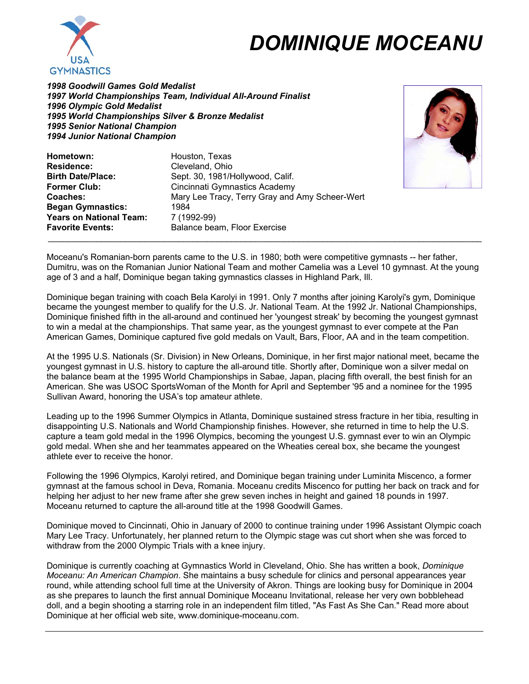

## *DOMINIQUE MOCEANU*

*1998 Goodwill Games Gold Medalist 1997 World Championships Team, Individual All-Around Finalist 1996 Olympic Gold Medalist 1995 World Championships Silver & Bronze Medalist 1995 Senior National Champion 1994 Junior National Champion*



Hometown: Houston, Texas **Residence:** Cleveland, Ohio<br> **Rirth Date/Place:** Sent 30 1981/H Sept. 30, 1981/Hollywood, Calif. **Former Club:** Cincinnati Gymnastics Academy **Coaches:** Mary Lee Tracy, Terry Gray and Amy Scheer-Wert **Began Gymnastics:** 1984 **Years on National Team:** 7 (1992-99) **Favorite Events:** Balance beam, Floor Exercise

Moceanu's Romanian-born parents came to the U.S. in 1980; both were competitive gymnasts -- her father, Dumitru, was on the Romanian Junior National Team and mother Camelia was a Level 10 gymnast. At the young age of 3 and a half, Dominique began taking gymnastics classes in Highland Park, Ill.

 $\_$  . The contribution of the contribution of the contribution of the contribution of the contribution of the contribution of  $\mathcal{L}_\text{max}$ 

Dominique began training with coach Bela Karolyi in 1991. Only 7 months after joining Karolyi's gym, Dominique became the youngest member to qualify for the U.S. Jr. National Team. At the 1992 Jr. National Championships, Dominique finished fifth in the all-around and continued her 'youngest streak' by becoming the youngest gymnast to win a medal at the championships. That same year, as the youngest gymnast to ever compete at the Pan American Games, Dominique captured five gold medals on Vault, Bars, Floor, AA and in the team competition.

At the 1995 U.S. Nationals (Sr. Division) in New Orleans, Dominique, in her first major national meet, became the youngest gymnast in U.S. history to capture the all-around title. Shortly after, Dominique won a silver medal on the balance beam at the 1995 World Championships in Sabae, Japan, placing fifth overall, the best finish for an American. She was USOC SportsWoman of the Month for April and September '95 and a nominee for the 1995 Sullivan Award, honoring the USA's top amateur athlete.

Leading up to the 1996 Summer Olympics in Atlanta, Dominique sustained stress fracture in her tibia, resulting in disappointing U.S. Nationals and World Championship finishes. However, she returned in time to help the U.S. capture a team gold medal in the 1996 Olympics, becoming the youngest U.S. gymnast ever to win an Olympic gold medal. When she and her teammates appeared on the Wheaties cereal box, she became the youngest athlete ever to receive the honor.

Following the 1996 Olympics, Karolyi retired, and Dominique began training under Luminita Miscenco, a former gymnast at the famous school in Deva, Romania. Moceanu credits Miscenco for putting her back on track and for helping her adjust to her new frame after she grew seven inches in height and gained 18 pounds in 1997. Moceanu returned to capture the all-around title at the 1998 Goodwill Games.

Dominique moved to Cincinnati, Ohio in January of 2000 to continue training under 1996 Assistant Olympic coach Mary Lee Tracy. Unfortunately, her planned return to the Olympic stage was cut short when she was forced to withdraw from the 2000 Olympic Trials with a knee injury.

Dominique is currently coaching at Gymnastics World in Cleveland, Ohio. She has written a book, *Dominique Moceanu: An American Champion*. She maintains a busy schedule for clinics and personal appearances year round, while attending school full time at the University of Akron. Things are looking busy for Dominique in 2004 as she prepares to launch the first annual Dominique Moceanu Invitational, release her very own bobblehead doll, and a begin shooting a starring role in an independent film titled, "As Fast As She Can." Read more about Dominique at her official web site, www.dominique-moceanu.com.